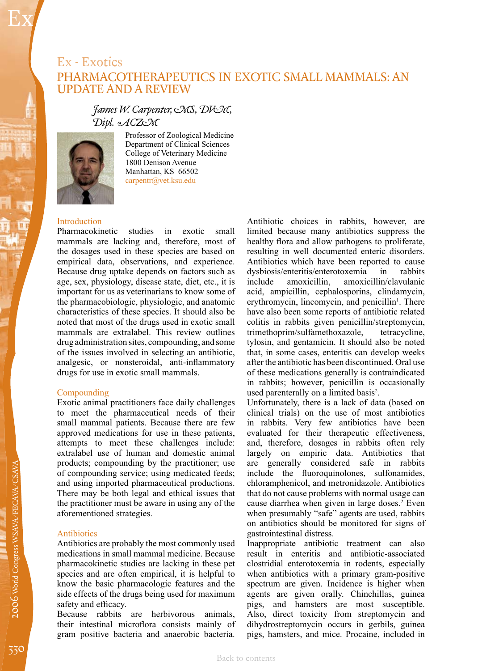## Ex - Exotics PHARMACOTHERAPEUTICS IN EXOTIC SMALL MAMMALS: AN UPDATE AND A REVIEW

### *James W. Carpenter, MS, DVM, Dipl. ACZM*



Ex

Professor of Zoological Medicine Department of Clinical Sciences College of Veterinary Medicine 1800 Denison Avenue Manhattan, KS 66502 carpentr@vet.ksu.edu

# Introduction<br>Pharmacokinetic

studies in exotic small mammals are lacking and, therefore, most of the dosages used in these species are based on empirical data, observations, and experience. Because drug uptake depends on factors such as age, sex, physiology, disease state, diet, etc., it is important for us as veterinarians to know some of the pharmacobiologic, physiologic, and anatomic characteristics of these species. It should also be noted that most of the drugs used in exotic small mammals are extralabel. This review outlines drug administration sites, compounding, and some of the issues involved in selecting an antibiotic, analgesic, or nonsteroidal, anti-inflammatory drugs for use in exotic small mammals.

#### Compounding

Exotic animal practitioners face daily challenges to meet the pharmaceutical needs of their small mammal patients. Because there are few approved medications for use in these patients, attempts to meet these challenges include: extralabel use of human and domestic animal products; compounding by the practitioner; use of compounding service; using medicated feeds; and using imported pharmaceutical productions. There may be both legal and ethical issues that the practitioner must be aware in using any of the aforementioned strategies.

#### Antibiotics

Antibiotics are probably the most commonly used medications in small mammal medicine. Because pharmacokinetic studies are lacking in these pet species and are often empirical, it is helpful to know the basic pharmacologic features and the side effects of the drugs being used for maximum safety and efficacy.

Because rabbits are herbivorous animals, their intestinal microflora consists mainly of gram positive bacteria and anaerobic bacteria.

Antibiotic choices in rabbits, however, are limited because many antibiotics suppress the healthy flora and allow pathogens to proliferate, resulting in well documented enteric disorders. Antibiotics which have been reported to cause<br>dysbiosis/enteritis/enterotoxemia in rabbits dysbiosis/enteritis/enterotoxemia<br>include amoxicillin. amoxic amoxicillin/clavulanic acid, ampicillin, cephalosporins, clindamycin, erythromycin, lincomycin, and penicillin<sup>1</sup>. There have also been some reports of antibiotic related colitis in rabbits given penicillin/streptomycin,<br>trimethoprim/sulfamethoxazole, tetracycline, trimethoprim/sulfamethoxazole, tylosin, and gentamicin. It should also be noted that, in some cases, enteritis can develop weeks after the antibiotic has been discontinued. Oral use of these medications generally is contraindicated in rabbits; however, penicillin is occasionally used parenterally on a limited basis<sup>2</sup>.

Unfortunately, there is a lack of data (based on clinical trials) on the use of most antibiotics in rabbits. Very few antibiotics have been evaluated for their therapeutic effectiveness, and, therefore, dosages in rabbits often rely largely on empiric data. Antibiotics that are generally considered safe in rabbits include the fluoroquinolones, sulfonamides, chloramphenicol, and metronidazole. Antibiotics that do not cause problems with normal usage can cause diarrhea when given in large doses.<sup>2</sup> Even when presumably "safe" agents are used, rabbits on antibiotics should be monitored for signs of gastrointestinal distress.

Inappropriate antibiotic treatment can also result in enteritis and antibiotic-associated clostridial enterotoxemia in rodents, especially when antibiotics with a primary gram-positive spectrum are given. Incidence is higher when agents are given orally. Chinchillas, guinea pigs, and hamsters are most susceptible. Also, direct toxicity from streptomycin and dihydrostreptomycin occurs in gerbils, guinea pigs, hamsters, and mice. Procaine, included in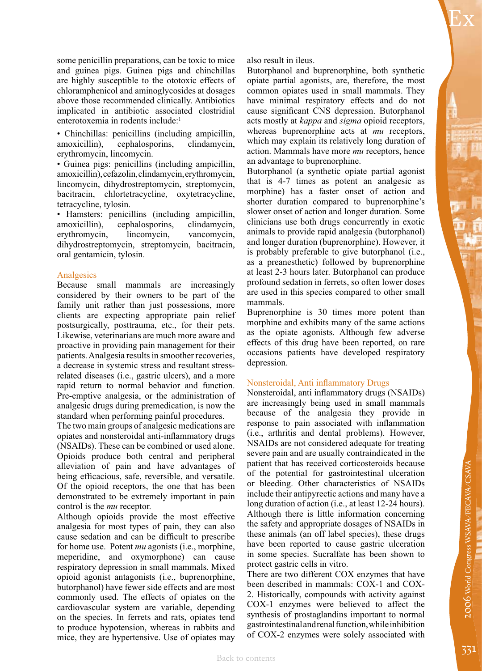Ex

some penicillin preparations, can be toxic to mice and guinea pigs. Guinea pigs and chinchillas are highly susceptible to the ototoxic effects of chloramphenicol and aminoglycosides at dosages above those recommended clinically. Antibiotics implicated in antibiotic associated clostridial enterotoxemia in rodents include:<sup>1</sup>

• Chinchillas: penicillins (including ampicillin, amoxicillin), cephalosporins, clindamycin, erythromycin, lincomycin.

• Guinea pigs: penicillins (including ampicillin, amoxicillin), cefazolin, clindamycin, erythromycin, lincomycin, dihydrostreptomycin, streptomycin, bacitracin, chlortetracycline, oxytetracycline, tetracycline, tylosin.

• Hamsters: penicillins (including ampicillin, amoxicillin), cephalosporins, clindamycin, erythromycin, lincomycin, vancomycin, dihydrostreptomycin, streptomycin, bacitracin, oral gentamicin, tylosin.

#### **Analgesics**

Because small mammals are increasingly considered by their owners to be part of the family unit rather than just possessions, more clients are expecting appropriate pain relief postsurgically, posttrauma, etc., for their pets. Likewise, veterinarians are much more aware and proactive in providing pain management for their patients. Analgesia results in smoother recoveries, a decrease in systemic stress and resultant stressrelated diseases (i.e., gastric ulcers), and a more rapid return to normal behavior and function. Pre-emptive analgesia, or the administration of analgesic drugs during premedication, is now the standard when performing painful procedures.

The two main groups of analgesic medications are opiates and nonsteroidal anti-inflammatory drugs (NSAIDs). These can be combined or used alone. Opioids produce both central and peripheral alleviation of pain and have advantages of being efficacious, safe, reversible, and versatile. Of the opioid receptors, the one that has been demonstrated to be extremely important in pain control is the *mu* receptor.

Although opioids provide the most effective analgesia for most types of pain, they can also cause sedation and can be difficult to prescribe for home use. Potent *mu* agonists (i.e., morphine, meperidine, and oxymorphone) can cause respiratory depression in small mammals. Mixed opioid agonist antagonists (i.e., buprenorphine, butorphanol) have fewer side effects and are most commonly used. The effects of opiates on the cardiovascular system are variable, depending on the species. In ferrets and rats, opiates tend to produce hypotension, whereas in rabbits and mice, they are hypertensive. Use of opiates may

opiate partial agonists, are, therefore, the most common opiates used in small mammals. They have minimal respiratory effects and do not cause significant CNS depression. Butorphanol acts mostly at *kappa* and *sigma* opioid receptors, whereas buprenorphine acts at *mu* receptors, which may explain its relatively long duration of action. Mammals have more *mu* receptors, hence an advantage to buprenorphine.

Butorphanol (a synthetic opiate partial agonist that is 4-7 times as potent an analgesic as morphine) has a faster onset of action and shorter duration compared to buprenorphine's slower onset of action and longer duration. Some clinicians use both drugs concurrently in exotic animals to provide rapid analgesia (butorphanol) and longer duration (buprenorphine). However, it is probably preferable to give butorphanol (i.e., as a preanesthetic) followed by buprenorphine at least 2-3 hours later. Butorphanol can produce profound sedation in ferrets, so often lower doses are used in this species compared to other small mammals.

Buprenorphine is 30 times more potent than morphine and exhibits many of the same actions as the opiate agonists. Although few adverse effects of this drug have been reported, on rare occasions patients have developed respiratory depression.

#### Nonsteroidal, Anti inflammatory Drugs

Nonsteroidal, anti inflammatory drugs (NSAIDs) are increasingly being used in small mammals because of the analgesia they provide in response to pain associated with inflammation (i.e., arthritis and dental problems). However, NSAIDs are not considered adequate for treating severe pain and are usually contraindicated in the patient that has received corticosteroids because of the potential for gastrointestinal ulceration or bleeding. Other characteristics of NSAIDs include their antipyrectic actions and many have a long duration of action (i.e., at least 12-24 hours). Although there is little information concerning the safety and appropriate dosages of NSAIDs in these animals (an off label species), these drugs have been reported to cause gastric ulceration in some species. Sucralfate has been shown to protect gastric cells in vitro.

There are two different COX enzymes that have been described in mammals: COX-1 and COX-2. Historically, compounds with activity against COX-1 enzymes were believed to affect the synthesis of prostaglandins important to normal gastrointestinal and renal function, while inhibition of COX-2 enzymes were solely associated with